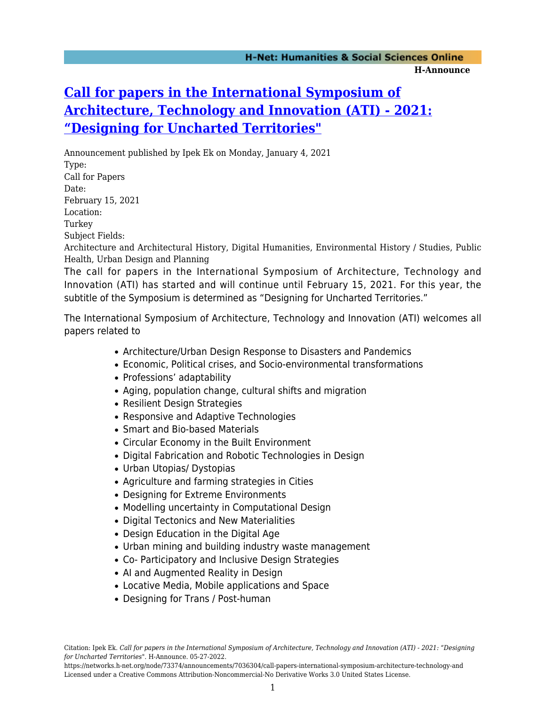## **[Call for papers in the International Symposium of](https://networks.h-net.org/node/73374/announcements/7036304/call-papers-international-symposium-architecture-technology-and) [Architecture, Technology and Innovation \(ATI\) - 2021:](https://networks.h-net.org/node/73374/announcements/7036304/call-papers-international-symposium-architecture-technology-and) ["Designing for Uncharted Territories"](https://networks.h-net.org/node/73374/announcements/7036304/call-papers-international-symposium-architecture-technology-and)**

Announcement published by Ipek Ek on Monday, January 4, 2021 Type: Call for Papers Date: February 15, 2021 Location: Turkey Subject Fields: Architecture and Architectural History, Digital Humanities, Environmental History / Studies, Public Health, Urban Design and Planning

The call for papers in the International Symposium of Architecture, Technology and Innovation (ATI) has started and will continue until February 15, 2021. For this year, the subtitle of the Symposium is determined as "Designing for Uncharted Territories."

The International Symposium of Architecture, Technology and Innovation (ATI) welcomes all papers related to

- Architecture/Urban Design Response to Disasters and Pandemics
- Economic, Political crises, and Socio-environmental transformations
- Professions' adaptability
- Aging, population change, cultural shifts and migration
- Resilient Design Strategies
- Responsive and Adaptive Technologies
- Smart and Bio-based Materials
- Circular Economy in the Built Environment
- Digital Fabrication and Robotic Technologies in Design
- Urban Utopias/ Dystopias
- Agriculture and farming strategies in Cities
- Designing for Extreme Environments
- Modelling uncertainty in Computational Design
- Digital Tectonics and New Materialities
- Design Education in the Digital Age
- Urban mining and building industry waste management
- Co- Participatory and Inclusive Design Strategies
- AI and Augmented Reality in Design
- Locative Media, Mobile applications and Space
- Designing for Trans / Post-human

https://networks.h-net.org/node/73374/announcements/7036304/call-papers-international-symposium-architecture-technology-and Licensed under a Creative Commons Attribution-Noncommercial-No Derivative Works 3.0 United States License.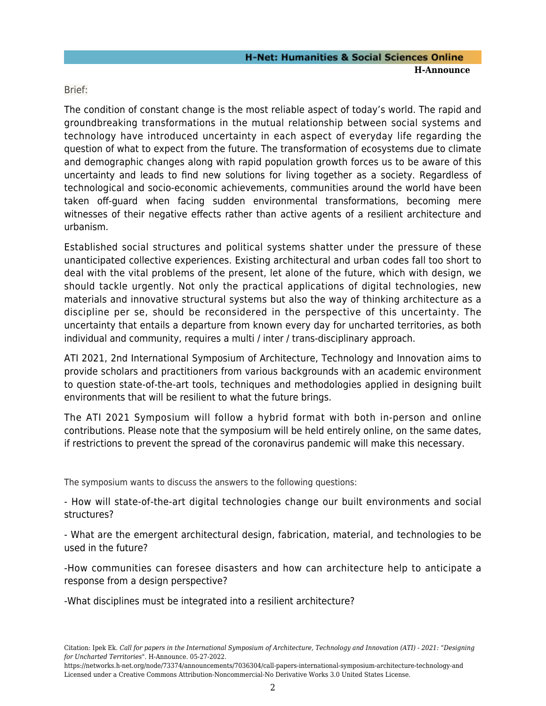Brief:

The condition of constant change is the most reliable aspect of today's world. The rapid and groundbreaking transformations in the mutual relationship between social systems and technology have introduced uncertainty in each aspect of everyday life regarding the question of what to expect from the future. The transformation of ecosystems due to climate and demographic changes along with rapid population growth forces us to be aware of this uncertainty and leads to find new solutions for living together as a society. Regardless of technological and socio-economic achievements, communities around the world have been taken off-guard when facing sudden environmental transformations, becoming mere witnesses of their negative effects rather than active agents of a resilient architecture and urbanism.

Established social structures and political systems shatter under the pressure of these unanticipated collective experiences. Existing architectural and urban codes fall too short to deal with the vital problems of the present, let alone of the future, which with design, we should tackle urgently. Not only the practical applications of digital technologies, new materials and innovative structural systems but also the way of thinking architecture as a discipline per se, should be reconsidered in the perspective of this uncertainty. The uncertainty that entails a departure from known every day for uncharted territories, as both individual and community, requires a multi / inter / trans-disciplinary approach.

ATI 2021, 2nd International Symposium of Architecture, Technology and Innovation aims to provide scholars and practitioners from various backgrounds with an academic environment to question state-of-the-art tools, techniques and methodologies applied in designing built environments that will be resilient to what the future brings.

The ATI 2021 Symposium will follow a hybrid format with both in-person and online contributions. Please note that the symposium will be held entirely online, on the same dates, if restrictions to prevent the spread of the coronavirus pandemic will make this necessary.

The symposium wants to discuss the answers to the following questions:

- How will state-of-the-art digital technologies change our built environments and social structures?

- What are the emergent architectural design, fabrication, material, and technologies to be used in the future?

-How communities can foresee disasters and how can architecture help to anticipate a response from a design perspective?

-What disciplines must be integrated into a resilient architecture?

Citation: Ipek Ek. *Call for papers in the International Symposium of Architecture, Technology and Innovation (ATI) - 2021: "Designing for Uncharted Territories"*. H-Announce. 05-27-2022.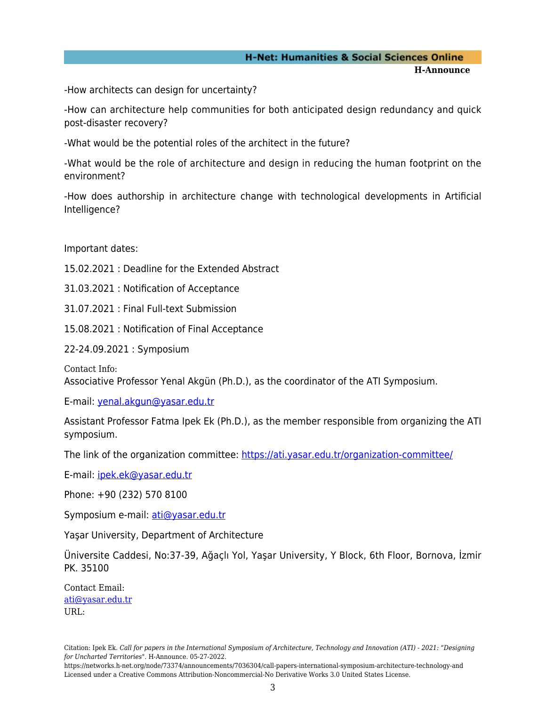## **H-Net: Humanities & Social Sciences Online H-Announce**

-How architects can design for uncertainty?

-How can architecture help communities for both anticipated design redundancy and quick post-disaster recovery?

-What would be the potential roles of the architect in the future?

-What would be the role of architecture and design in reducing the human footprint on the environment?

-How does authorship in architecture change with technological developments in Artificial Intelligence?

Important dates:

15.02.2021 : Deadline for the Extended Abstract

31.03.2021 : Notification of Acceptance

31.07.2021 : Final Full-text Submission

15.08.2021 : Notification of Final Acceptance

22-24.09.2021 : Symposium

Contact Info: Associative Professor Yenal Akgün (Ph.D.), as the coordinator of the ATI Symposium.

E-mail: [yenal.akgun@yasar.edu.tr](mailto:yenal.akgun@yasar.edu.tr)

Assistant Professor Fatma Ipek Ek (Ph.D.), as the member responsible from organizing the ATI symposium.

The link of the organization committee:<https://ati.yasar.edu.tr/organization-committee/>

E-mail: [ipek.ek@yasar.edu.tr](mailto:ipek.ek@yasar.edu.tr)

Phone: +90 (232) 570 8100

Symposium e-mail: [ati@yasar.edu.tr](mailto:ati@yasar.edu.tr)

Yaşar University, Department of Architecture

Üniversite Caddesi, No:37-39, Ağaçlı Yol, Yaşar University, Y Block, 6th Floor, Bornova, İzmir PK. 35100

Contact Email: [ati@yasar.edu.tr](mailto:ati@yasar.edu.tr) URL:

https://networks.h-net.org/node/73374/announcements/7036304/call-papers-international-symposium-architecture-technology-and Licensed under a Creative Commons Attribution-Noncommercial-No Derivative Works 3.0 United States License.

Citation: Ipek Ek. *Call for papers in the International Symposium of Architecture, Technology and Innovation (ATI) - 2021: "Designing for Uncharted Territories"*. H-Announce. 05-27-2022.